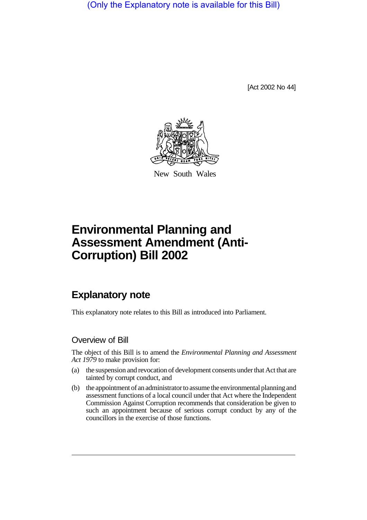(Only the Explanatory note is available for this Bill)

[Act 2002 No 44]



New South Wales

# **Environmental Planning and Assessment Amendment (Anti-Corruption) Bill 2002**

# **Explanatory note**

This explanatory note relates to this Bill as introduced into Parliament.

#### Overview of Bill

The object of this Bill is to amend the *Environmental Planning and Assessment Act 1979* to make provision for:

- (a) the suspension and revocation of development consents under that Act that are tainted by corrupt conduct, and
- (b) the appointment of an administrator to assume the environmental planningand assessment functions of a local council under that Act where the Independent Commission Against Corruption recommends that consideration be given to such an appointment because of serious corrupt conduct by any of the councillors in the exercise of those functions.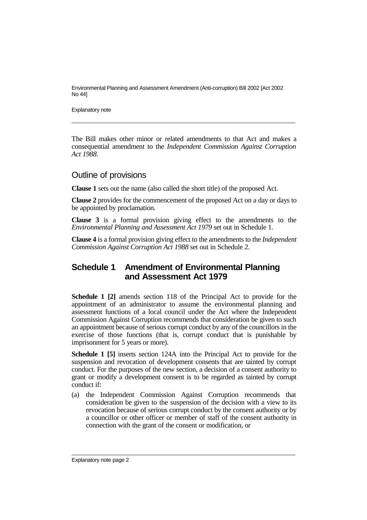Environmental Planning and Assessment Amendment (Anti-corruption) Bill 2002 [Act 2002 No 44]

Explanatory note

The Bill makes other minor or related amendments to that Act and makes a consequential amendment to the *Independent Commission Against Corruption Act 1988*.

#### Outline of provisions

**Clause 1** sets out the name (also called the short title) of the proposed Act.

**Clause 2** provides for the commencement of the proposed Act on a day or days to be appointed by proclamation.

**Clause 3** is a formal provision giving effect to the amendments to the *Environmental Planning and Assessment Act 1979* set out in Schedule 1.

**Clause 4** is a formal provision giving effect to the amendments to the *Independent Commission Against Corruption Act 1988* set out in Schedule 2.

### **Schedule 1 Amendment of Environmental Planning and Assessment Act 1979**

**Schedule 1 [2]** amends section 118 of the Principal Act to provide for the appointment of an administrator to assume the environmental planning and assessment functions of a local council under the Act where the Independent Commission Against Corruption recommends that consideration be given to such an appointment because of serious corrupt conduct by any of the councillors in the exercise of those functions (that is, corrupt conduct that is punishable by imprisonment for 5 years or more).

**Schedule 1 [5]** inserts section 124A into the Principal Act to provide for the suspension and revocation of development consents that are tainted by corrupt conduct. For the purposes of the new section, a decision of a consent authority to grant or modify a development consent is to be regarded as tainted by corrupt conduct if:

(a) the Independent Commission Against Corruption recommends that consideration be given to the suspension of the decision with a view to its revocation because of serious corrupt conduct by the consent authority or by a councillor or other officer or member of staff of the consent authority in connection with the grant of the consent or modification, or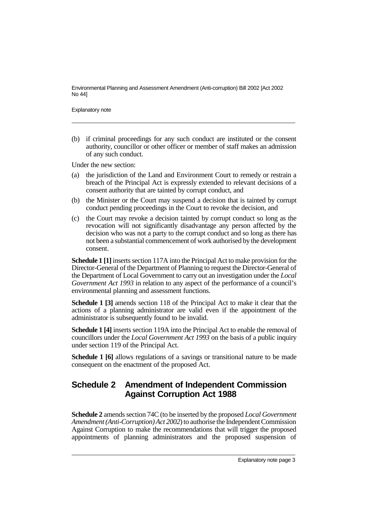Environmental Planning and Assessment Amendment (Anti-corruption) Bill 2002 [Act 2002 No 44]

Explanatory note

(b) if criminal proceedings for any such conduct are instituted or the consent authority, councillor or other officer or member of staff makes an admission of any such conduct.

Under the new section:

- (a) the jurisdiction of the Land and Environment Court to remedy or restrain a breach of the Principal Act is expressly extended to relevant decisions of a consent authority that are tainted by corrupt conduct, and
- (b) the Minister or the Court may suspend a decision that is tainted by corrupt conduct pending proceedings in the Court to revoke the decision, and
- (c) the Court may revoke a decision tainted by corrupt conduct so long as the revocation will not significantly disadvantage any person affected by the decision who was not a party to the corrupt conduct and so long as there has not been a substantial commencement of work authorised by the development consent.

**Schedule 1 [1]**inserts section 117A into the Principal Act to make provision for the Director-General of the Department of Planning to request the Director-General of the Department of Local Government to carry out an investigation under the *Local Government Act 1993* in relation to any aspect of the performance of a council's environmental planning and assessment functions.

**Schedule 1 [3]** amends section 118 of the Principal Act to make it clear that the actions of a planning administrator are valid even if the appointment of the administrator is subsequently found to be invalid.

**Schedule 1 [4]** inserts section 119A into the Principal Act to enable the removal of councillors under the *Local Government Act 1993* on the basis of a public inquiry under section 119 of the Principal Act.

**Schedule 1 [6]** allows regulations of a savings or transitional nature to be made consequent on the enactment of the proposed Act.

## **Schedule 2 Amendment of Independent Commission Against Corruption Act 1988**

**Schedule 2** amends section 74C (to be inserted by the proposed *Local Government Amendment (Anti-Corruption) Act 2002*) to authorise the Independent Commission Against Corruption to make the recommendations that will trigger the proposed appointments of planning administrators and the proposed suspension of